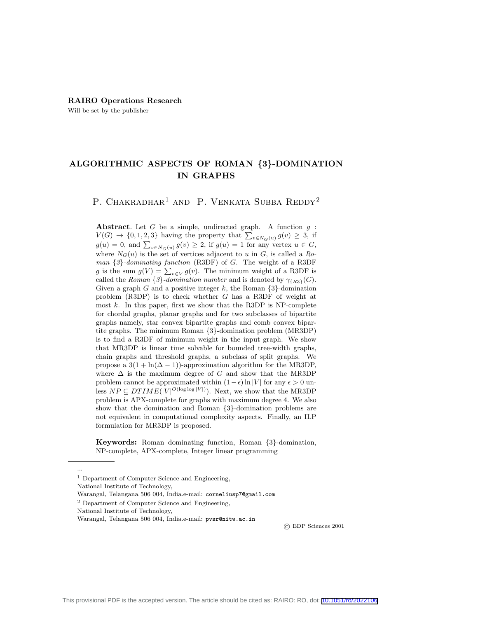#### RAIRO Operations Research

Will be set by the publisher

# ALGORITHMIC ASPECTS OF ROMAN {3}-DOMINATION IN GRAPHS

P. CHAKRADHAR<sup>1</sup> AND P. VENKATA SUBBA REDDY<sup>2</sup>

Abstract. Let  $G$  be a simple, undirected graph. A function  $g$ :  $V(G) \rightarrow \{0, 1, 2, 3\}$  having the property that  $\sum_{v \in N_G(u)} g(v) \geq 3$ , if  $g(u) = 0$ , and  $\sum_{v \in N_G(u)} g(v) \geq 2$ , if  $g(u) = 1$  for any vertex  $u \in G$ , where  $N_G(u)$  is the set of vertices adjacent to u in G, is called a Roman {3}-dominating function (R3DF) of G. The weight of a R3DF g is the sum  $g(V) = \sum_{v \in V} g(v)$ . The minimum weight of a R3DF is called the Roman  $\{3\}$ -domination number and is denoted by  $\gamma_{\{R3\}}(G)$ . Given a graph  $G$  and a positive integer  $k$ , the Roman  $\{3\}$ -domination problem (R3DP) is to check whether G has a R3DF of weight at most  $k$ . In this paper, first we show that the R3DP is NP-complete for chordal graphs, planar graphs and for two subclasses of bipartite graphs namely, star convex bipartite graphs and comb convex bipartite graphs. The minimum Roman {3}-domination problem (MR3DP) is to find a R3DF of minimum weight in the input graph. We show that MR3DP is linear time solvable for bounded tree-width graphs, chain graphs and threshold graphs, a subclass of split graphs. We propose a  $3(1 + \ln(\Delta - 1))$ -approximation algorithm for the MR3DP, where  $\Delta$  is the maximum degree of G and show that the MR3DP problem cannot be approximated within  $(1 - \epsilon) \ln |V|$  for any  $\epsilon > 0$  unless  $NP \subseteq DTIME(|V|^{O(\log \log |V|)})$ . Next, we show that the MR3DP problem is APX-complete for graphs with maximum degree 4. We also show that the domination and Roman {3}-domination problems are not equivalent in computational complexity aspects. Finally, an ILP formulation for MR3DP is proposed.

Keywords: Roman dominating function, Roman {3}-domination, NP-complete, APX-complete, Integer linear programming

National Institute of Technology,

Warangal, Telangana 506 004, India.e-mail: corneliusp7@gmail.com

National Institute of Technology,

...

© EDP Sciences 2001

<sup>&</sup>lt;sup>1</sup> Department of Computer Science and Engineering,

<sup>2</sup> Department of Computer Science and Engineering,

Warangal, Telangana 506 004, India.e-mail: pvsr@nitw.ac.in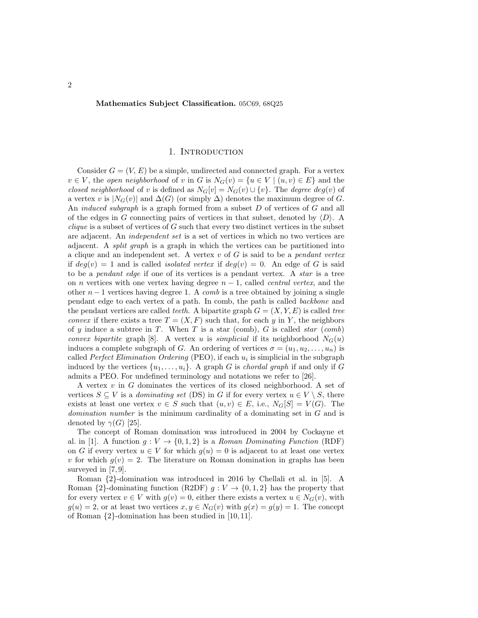### Mathematics Subject Classification. 05C69, 68Q25

#### 1. INTRODUCTION

Consider  $G = (V, E)$  be a simple, undirected and connected graph. For a vertex  $v \in V$ , the open neighborhood of v in G is  $N_G(v) = \{u \in V \mid (u, v) \in E\}$  and the closed neighborhood of v is defined as  $N_G[v] = N_G(v) \cup \{v\}$ . The degree  $deg(v)$  of a vertex v is  $|N_G(v)|$  and  $\Delta(G)$  (or simply  $\Delta$ ) denotes the maximum degree of G. An *induced subgraph* is a graph formed from a subset D of vertices of G and all of the edges in G connecting pairs of vertices in that subset, denoted by  $\langle D \rangle$ . A *clique* is a subset of vertices of  $G$  such that every two distinct vertices in the subset are adjacent. An independent set is a set of vertices in which no two vertices are adjacent. A split graph is a graph in which the vertices can be partitioned into a clique and an independent set. A vertex  $v$  of  $G$  is said to be a *pendant vertex* if  $deg(v) = 1$  and is called *isolated vertex* if  $deg(v) = 0$ . An edge of G is said to be a pendant edge if one of its vertices is a pendant vertex. A star is a tree on *n* vertices with one vertex having degree  $n - 1$ , called *central vertex*, and the other  $n-1$  vertices having degree 1. A *comb* is a tree obtained by joining a single pendant edge to each vertex of a path. In comb, the path is called backbone and the pendant vertices are called *teeth*. A bipartite graph  $G = (X, Y, E)$  is called *tree convex* if there exists a tree  $T = (X, F)$  such that, for each y in Y, the neighbors of y induce a subtree in T. When T is a star (comb), G is called *star* (comb) convex bipartite graph [8]. A vertex u is simplicial if its neighborhood  $N_G(u)$ induces a complete subgraph of G. An ordering of vertices  $\sigma = (u_1, u_2, \dots, u_n)$  is called *Perfect Elimination Ordering* (PEO), if each  $u_i$  is simplicial in the subgraph induced by the vertices  $\{u_1, \ldots, u_i\}$ . A graph G is *chordal graph* if and only if G admits a PEO. For undefined terminology and notations we refer to [26].

A vertex  $v$  in  $G$  dominates the vertices of its closed neighborhood. A set of vertices  $S \subseteq V$  is a *dominating set* (DS) in G if for every vertex  $u \in V \setminus S$ , there exists at least one vertex  $v \in S$  such that  $(u, v) \in E$ , i.e.,  $N_G[S] = V(G)$ . The domination number is the minimum cardinality of a dominating set in G and is denoted by  $\gamma(G)$  [25].

The concept of Roman domination was introduced in 2004 by Cockayne et al. in [1]. A function  $g: V \to \{0, 1, 2\}$  is a Roman Dominating Function (RDF) on G if every vertex  $u \in V$  for which  $g(u) = 0$  is adjacent to at least one vertex v for which  $g(v) = 2$ . The literature on Roman domination in graphs has been surveyed in [7, 9].

Roman {2}-domination was introduced in 2016 by Chellali et al. in [5]. A Roman  $\{2\}$ -dominating function (R2DF)  $g: V \to \{0, 1, 2\}$  has the property that for every vertex  $v \in V$  with  $g(v) = 0$ , either there exists a vertex  $u \in N_G(v)$ , with  $g(u) = 2$ , or at least two vertices  $x, y \in N_G(v)$  with  $g(x) = g(y) = 1$ . The concept of Roman {2}-domination has been studied in [10, 11].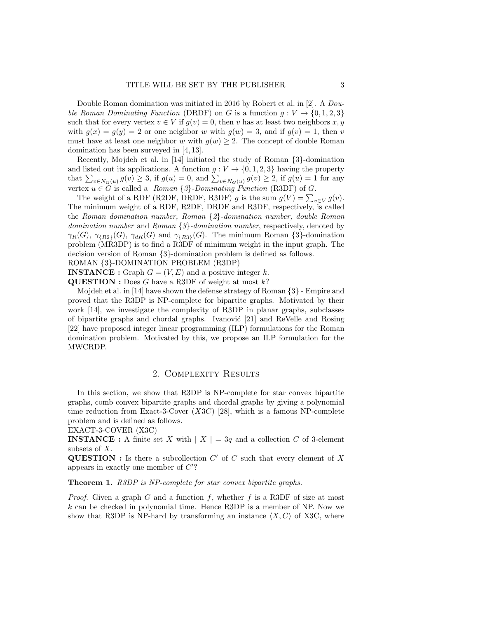Double Roman domination was initiated in 2016 by Robert et al. in [2]. A *Dou*ble Roman Dominating Function (DRDF) on G is a function  $q: V \to \{0, 1, 2, 3\}$ such that for every vertex  $v \in V$  if  $g(v) = 0$ , then v has at least two neighbors x, y with  $g(x) = g(y) = 2$  or one neighbor w with  $g(w) = 3$ , and if  $g(v) = 1$ , then v must have at least one neighbor w with  $g(w) \geq 2$ . The concept of double Roman domination has been surveyed in [4, 13].

Recently, Mojdeh et al. in [14] initiated the study of Roman {3}-domination and listed out its applications. A function  $g: V \to \{0, 1, 2, 3\}$  having the property that  $\sum_{v \in N_G(u)} g(v) \geq 3$ , if  $g(u) = 0$ , and  $\sum_{v \in N_G(u)} g(v) \geq 2$ , if  $g(u) = 1$  for any vertex  $u \in G$  is called a Roman  $\{3\}$ -Dominating Function (R3DF) of G.

The weight of a RDF (R2DF, DRDF, R3DF) g is the sum  $g(V) = \sum_{v \in V} g(v)$ . The minimum weight of a RDF, R2DF, DRDF and R3DF, respectively, is called the Roman domination number, Roman {2}-domination number, double Roman domination number and Roman {3}-domination number, respectively, denoted by  $\gamma_R(G)$ ,  $\gamma_{\{R2\}}(G)$ ,  $\gamma_{dR}(G)$  and  $\gamma_{\{R3\}}(G)$ . The minimum Roman {3}-domination problem (MR3DP) is to find a R3DF of minimum weight in the input graph. The decision version of Roman {3}-domination problem is defined as follows.

### ROMAN {3}-DOMINATION PROBLEM (R3DP)

**INSTANCE**: Graph  $G = (V, E)$  and a positive integer k. **QUESTION** : Does G have a R3DF of weight at most  $k$ ?

Mojdeh et al. in [14] have shown the defense strategy of Roman {3} - Empire and proved that the R3DP is NP-complete for bipartite graphs. Motivated by their work [14], we investigate the complexity of R3DP in planar graphs, subclasses of bipartite graphs and chordal graphs. Ivanović [21] and ReVelle and Rosing [22] have proposed integer linear programming (ILP) formulations for the Roman domination problem. Motivated by this, we propose an ILP formulation for the MWCRDP.

# 2. Complexity Results

In this section, we show that R3DP is NP-complete for star convex bipartite graphs, comb convex bipartite graphs and chordal graphs by giving a polynomial time reduction from Exact-3-Cover  $(X3C)$  [28], which is a famous NP-complete problem and is defined as follows.

EXACT-3-COVER (X3C)

**INSTANCE**: A finite set X with  $|X| = 3q$  and a collection C of 3-element subsets of X.

**QUESTION**: Is there a subcollection  $C'$  of  $C$  such that every element of  $X$ appears in exactly one member of  $C$ ?

# Theorem 1. R3DP is NP-complete for star convex bipartite graphs.

*Proof.* Given a graph G and a function f, whether f is a R3DF of size at most  $k$  can be checked in polynomial time. Hence R3DP is a member of NP. Now we show that R3DP is NP-hard by transforming an instance  $\langle X, C \rangle$  of X3C, where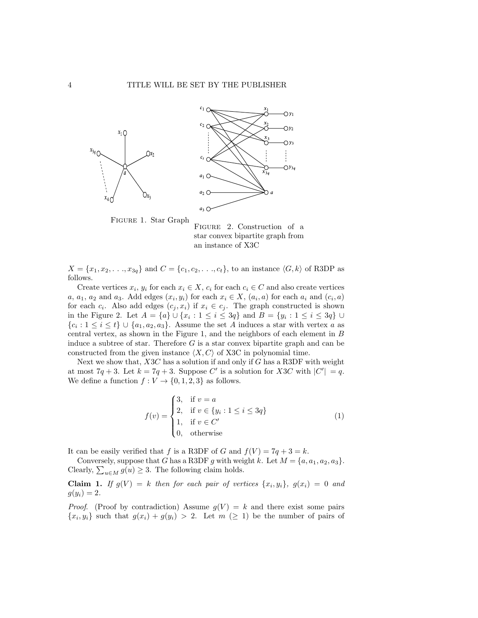



 $X = \{x_1, x_2, \ldots, x_{3q}\}\$ and  $C = \{c_1, c_2, \ldots, c_t\}$ , to an instance  $\langle G, k \rangle$  of R3DP as follows.

Create vertices  $x_i, y_i$  for each  $x_i \in X$ ,  $c_i$  for each  $c_i \in C$  and also create vertices a,  $a_1$ ,  $a_2$  and  $a_3$ . Add edges  $(x_i, y_i)$  for each  $x_i \in X$ ,  $(a_i, a)$  for each  $a_i$  and  $(c_i, a)$ for each  $c_i$ . Also add edges  $(c_j, x_i)$  if  $x_i \in c_j$ . The graph constructed is shown in the Figure 2. Let  $A = \{a\} \cup \{x_i : 1 \le i \le 3q\}$  and  $B = \{y_i : 1 \le i \le 3q\} \cup$  ${c_i : 1 \leq i \leq t} \cup {a_1, a_2, a_3}.$  Assume the set A induces a star with vertex a as central vertex, as shown in the Figure 1, and the neighbors of each element in B induce a subtree of star. Therefore  $G$  is a star convex bipartite graph and can be constructed from the given instance  $\langle X, C \rangle$  of X3C in polynomial time.

Next we show that,  $X3C$  has a solution if and only if G has a R3DF with weight at most  $7q + 3$ . Let  $k = 7q + 3$ . Suppose C' is a solution for X3C with  $|C'| = q$ . We define a function  $f: V \to \{0, 1, 2, 3\}$  as follows.

$$
f(v) = \begin{cases} 3, & \text{if } v = a \\ 2, & \text{if } v \in \{y_i : 1 \le i \le 3q\} \\ 1, & \text{if } v \in C' \\ 0, & \text{otherwise} \end{cases}
$$
(1)

It can be easily verified that f is a R3DF of G and  $f(V) = 7q + 3 = k$ .

Conversely, suppose that G has a R3DF g with weight k. Let  $M = \{a, a_1, a_2, a_3\}.$ Clearly,  $\sum_{u \in M} g(u) \geq 3$ . The following claim holds.

**Claim 1.** If  $g(V) = k$  then for each pair of vertices  $\{x_i, y_i\}, g(x_i) = 0$  and  $g(y_i) = 2.$ 

*Proof.* (Proof by contradiction) Assume  $g(V) = k$  and there exist some pairs  $\{x_i, y_i\}$  such that  $g(x_i) + g(y_i) > 2$ . Let  $m \geq 1$  be the number of pairs of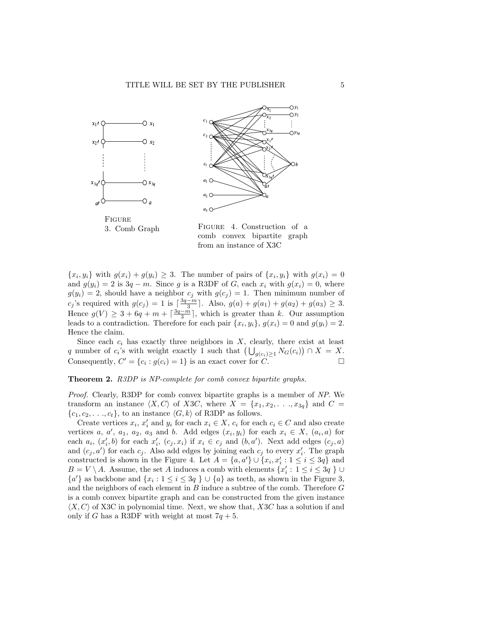

comb convex bipartite graph from an instance of X3C

 $\{x_i, y_i\}$  with  $g(x_i) + g(y_i) \geq 3$ . The number of pairs of  $\{x_i, y_i\}$  with  $g(x_i) = 0$ and  $g(y_i) = 2$  is  $3q - m$ . Since g is a R3DF of G, each  $x_i$  with  $g(x_i) = 0$ , where  $g(y_i) = 2$ , should have a neighbor  $c_j$  with  $g(c_j) = 1$ . Then minimum number of c<sub>j</sub>'s required with  $g(c_j) = 1$  is  $\left[\frac{3q-m}{3}\right]$ . Also,  $g(a) + g(a_1) + g(a_2) + g(a_3) \geq 3$ . Hence  $g(V) \geq 3 + 6q + m + \lceil \frac{3q - m}{3} \rceil$ , which is greater than k. Our assumption leads to a contradiction. Therefore for each pair  $\{x_i, y_i\}$ ,  $g(x_i) = 0$  and  $g(y_i) = 2$ . Hence the claim.

Since each  $c_i$  has exactly three neighbors in  $X$ , clearly, there exist at least q number of  $c_i$ 's with weight exactly 1 such that  $\left(\bigcup_{g(c_i)\geq 1} N_G(c_i)\right) \cap X = X$ . Consequently,  $C' = \{c_i : g(c_i) = 1\}$  is an exact cover for  $C$ .

#### Theorem 2. R3DP is NP-complete for comb convex bipartite graphs.

Proof. Clearly, R3DP for comb convex bipartite graphs is a member of NP. We transform an instance  $\langle X, C \rangle$  of X3C, where  $X = \{x_1, x_2, \ldots, x_{3g}\}\$  and  $C =$  $\{c_1, c_2, \ldots, c_t\}$ , to an instance  $\langle G, k \rangle$  of R3DP as follows.

Create vertices  $x_i, x'_i$  and  $y_i$  for each  $x_i \in X$ ,  $c_i$  for each  $c_i \in C$  and also create vertices a, a', a<sub>1</sub>, a<sub>2</sub>, a<sub>3</sub> and b. Add edges  $(x_i, y_i)$  for each  $x_i \in X$ ,  $(a_i, a)$  for each  $a_i, (x'_i, b)$  for each  $x'_i, (c_j, x_i)$  if  $x_i \in c_j$  and  $(b, a')$ . Next add edges  $(c_j, a)$ and  $(c_j, a')$  for each  $c_j$ . Also add edges by joining each  $c_j$  to every  $x'_i$ . The graph constructed is shown in the Figure 4. Let  $A = \{a, a'\} \cup \{x_i, x'_i : 1 \leq i \leq 3q\}$  and  $B = V \setminus A$ . Assume, the set A induces a comb with elements  $\{x'_i : 1 \leq i \leq 3q \}$  $\{a'\}$  as backbone and  $\{x_i : 1 \leq i \leq 3q\} \cup \{a\}$  as teeth, as shown in the Figure 3, and the neighbors of each element in  $B$  induce a subtree of the comb. Therefore  $G$ is a comb convex bipartite graph and can be constructed from the given instance  $\langle X, C \rangle$  of X3C in polynomial time. Next, we show that, X3C has a solution if and only if G has a R3DF with weight at most  $7q + 5$ .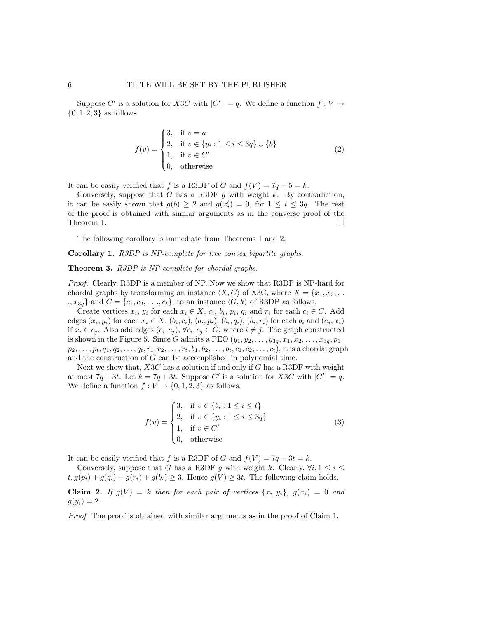Suppose C' is a solution for X3C with  $|C'| = q$ . We define a function  $f: V \to$  $\{0, 1, 2, 3\}$  as follows.

$$
f(v) = \begin{cases} 3, & \text{if } v = a \\ 2, & \text{if } v \in \{y_i : 1 \le i \le 3q\} \cup \{b\} \\ 1, & \text{if } v \in C' \\ 0, & \text{otherwise} \end{cases}
$$
(2)

It can be easily verified that f is a R3DF of G and  $f(V) = 7q + 5 = k$ .

Conversely, suppose that G has a R3DF g with weight k. By contradiction, it can be easily shown that  $g(b) \geq 2$  and  $g(x'_i) = 0$ , for  $1 \leq i \leq 3q$ . The rest of the proof is obtained with similar arguments as in the converse proof of the Theorem 1.  $\Box$ 

The following corollary is immediate from Theorems 1 and 2.

Corollary 1. R3DP is NP-complete for tree convex bipartite graphs.

Theorem 3. R3DP is NP-complete for chordal graphs.

Proof. Clearly, R3DP is a member of NP. Now we show that R3DP is NP-hard for chordal graphs by transforming an instance  $\langle X, C \rangle$  of X3C, where  $X = \{x_1, x_2, \ldots\}$  $x_3$ <sub>a</sub>} and  $C = \{c_1, c_2, \ldots, c_t\}$ , to an instance  $\langle G, k \rangle$  of R3DP as follows.

Create vertices  $x_i, y_i$  for each  $x_i \in X$ ,  $c_i, b_i, p_i, q_i$  and  $r_i$  for each  $c_i \in C$ . Add edges  $(x_i, y_i)$  for each  $x_i \in X$ ,  $(b_i, c_i)$ ,  $(b_i, p_i)$ ,  $(b_i, q_i)$ ,  $(b_i, r_i)$  for each  $b_i$  and  $(c_j, x_i)$ if  $x_i \in c_j$ . Also add edges  $(c_i, c_j)$ ,  $\forall c_i, c_j \in C$ , where  $i \neq j$ . The graph constructed is shown in the Figure 5. Since G admits a PEO  $(y_1, y_2, \ldots, y_{3q}, x_1, x_2, \ldots, x_{3q}, p_1,$  $p_2, \ldots, p_t, q_1, q_2, \ldots, q_t, r_1, r_2, \ldots, r_t, b_1, b_2, \ldots, b_t, c_1, c_2, \ldots, c_t)$ , it is a chordal graph and the construction of G can be accomplished in polynomial time.

Next we show that,  $X3C$  has a solution if and only if G has a R3DF with weight at most  $7q + 3t$ . Let  $k = 7q + 3t$ . Suppose C' is a solution for X3C with  $|C'| = q$ . We define a function  $f: V \to \{0, 1, 2, 3\}$  as follows.

$$
f(v) = \begin{cases} 3, & \text{if } v \in \{b_i : 1 \le i \le t\} \\ 2, & \text{if } v \in \{y_i : 1 \le i \le 3q\} \\ 1, & \text{if } v \in C' \\ 0, & \text{otherwise} \end{cases}
$$
(3)

It can be easily verified that f is a R3DF of G and  $f(V) = 7q + 3t = k$ .

Conversely, suppose that G has a R3DF g with weight k. Clearly,  $\forall i, 1 \leq i \leq$  $t, g(p_i) + g(q_i) + g(r_i) + g(b_i) \geq 3$ . Hence  $g(V) \geq 3t$ . The following claim holds. **Claim 2.** If  $g(V) = k$  then for each pair of vertices  $\{x_i, y_i\}, g(x_i) = 0$  and  $g(y_i) = 2.$ 

Proof. The proof is obtained with similar arguments as in the proof of Claim 1.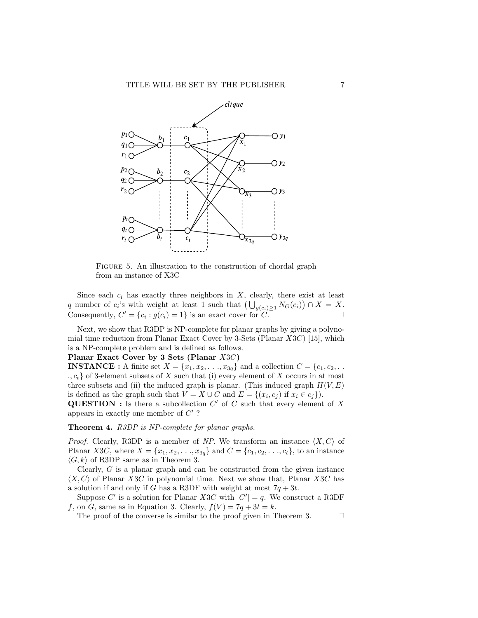

FIGURE 5. An illustration to the construction of chordal graph from an instance of X3C

Since each  $c_i$  has exactly three neighbors in  $X$ , clearly, there exist at least q number of  $c_i$ 's with weight at least 1 such that  $\left(\bigcup_{g(c_i)\geq 1} N_G(c_i)\right) \cap X = X$ . Consequently,  $C' = \{c_i : g(c_i) = 1\}$  is an exact cover for  $C$ .

Next, we show that R3DP is NP-complete for planar graphs by giving a polynomial time reduction from Planar Exact Cover by 3-Sets (Planar  $X3C$ ) [15], which is a NP-complete problem and is defined as follows.

# Planar Exact Cover by 3 Sets (Planar X3C)

**INSTANCE**: A finite set  $X = \{x_1, x_2, \ldots, x_{3q}\}\$ and a collection  $C = \{c_1, c_2, \ldots, c_q\}$  $\{c_i, c_t\}$  of 3-element subsets of X such that (i) every element of X occurs in at most three subsets and (ii) the induced graph is planar. (This induced graph  $H(V, E)$ is defined as the graph such that  $V = X \cup C$  and  $E = \{(x_i, c_j) \text{ if } x_i \in c_j\}$ .

**QUESTION**: Is there a subcollection  $C'$  of C such that every element of X appears in exactly one member of  $C'$ ?

### Theorem 4. R3DP is NP-complete for planar graphs.

*Proof.* Clearly, R3DP is a member of NP. We transform an instance  $\langle X, C \rangle$  of Planar X3C, where  $X = \{x_1, x_2, \ldots, x_{3q}\}\$ and  $C = \{c_1, c_2, \ldots, c_t\}$ , to an instance  $\langle G, k \rangle$  of R3DP same as in Theorem 3.

Clearly, G is a planar graph and can be constructed from the given instance  $\langle X, C \rangle$  of Planar X3C in polynomial time. Next we show that, Planar X3C has a solution if and only if G has a R3DF with weight at most  $7q + 3t$ .

Suppose C' is a solution for Planar X3C with  $|C'| = q$ . We construct a R3DF f, on G, same as in Equation 3. Clearly,  $f(V) = 7q + 3t = k$ .

The proof of the converse is similar to the proof given in Theorem 3.  $\Box$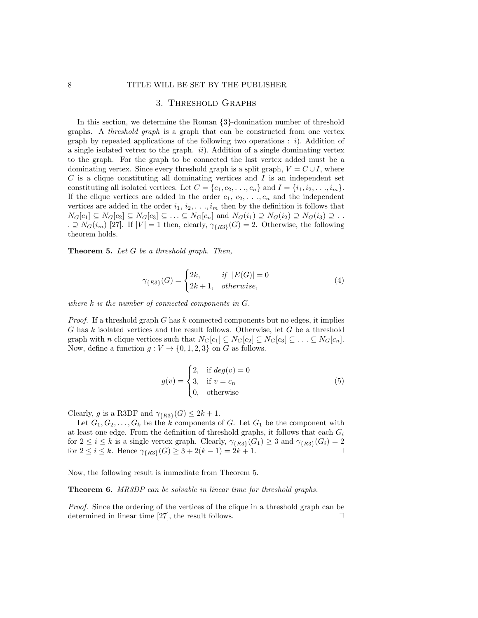# 3. Threshold Graphs

In this section, we determine the Roman {3}-domination number of threshold graphs. A threshold graph is a graph that can be constructed from one vertex graph by repeated applications of the following two operations :  $i$ ). Addition of a single isolated vetrex to the graph.  $ii$ ). Addition of a single dominating vertex to the graph. For the graph to be connected the last vertex added must be a dominating vertex. Since every threshold graph is a split graph,  $V = C \cup I$ , where  $C$  is a clique constituting all dominating vertices and  $I$  is an independent set constituting all isolated vertices. Let  $C = \{c_1, c_2, \ldots, c_n\}$  and  $I = \{i_1, i_2, \ldots, i_m\}$ . If the clique vertices are added in the order  $c_1, c_2, \ldots, c_n$  and the independent vertices are added in the order  $i_1, i_2, \ldots, i_m$  then by the definition it follows that  $N_G[c_1] \subseteq N_G[c_2] \subseteq N_G[c_3] \subseteq \ldots \subseteq N_G[c_n]$  and  $N_G(i_1) \supseteq N_G(i_2) \supseteq N_G(i_3) \supseteq \ldots$ .  $\supseteq N_G(i_m)$  [27]. If  $|V| = 1$  then, clearly,  $\gamma_{\{R3\}}(G) = 2$ . Otherwise, the following theorem holds.

**Theorem 5.** Let  $G$  be a threshold graph. Then,

$$
\gamma_{\{R3\}}(G) = \begin{cases} 2k, & \text{if } |E(G)| = 0\\ 2k + 1, & \text{otherwise,} \end{cases} \tag{4}
$$

where  $k$  is the number of connected components in  $G$ .

*Proof.* If a threshold graph  $G$  has  $k$  connected components but no edges, it implies  $G$  has  $k$  isolated vertices and the result follows. Otherwise, let  $G$  be a threshold graph with n clique vertices such that  $N_G[c_1] \subseteq N_G[c_2] \subseteq N_G[c_3] \subseteq \ldots \subseteq N_G[c_n]$ . Now, define a function  $g: V \to \{0, 1, 2, 3\}$  on G as follows.

$$
g(v) = \begin{cases} 2, & \text{if } deg(v) = 0 \\ 3, & \text{if } v = c_n \\ 0, & \text{otherwise} \end{cases}
$$
 (5)

Clearly, g is a R3DF and  $\gamma_{\{R3\}}(G) \leq 2k+1$ .

Let  $G_1, G_2, \ldots, G_k$  be the k components of G. Let  $G_1$  be the component with at least one edge. From the definition of threshold graphs, it follows that each  $G_i$ for  $2 \leq i \leq k$  is a single vertex graph. Clearly,  $\gamma_{\{R3\}}(G_1) \geq 3$  and  $\gamma_{\{R3\}}(G_i) = 2$ for  $2 \le i \le k$ . Hence  $\gamma_{\{R3\}}(G) \ge 3 + 2(k-1) = 2k+1$ .

Now, the following result is immediate from Theorem 5.

Theorem 6. MR3DP can be solvable in linear time for threshold graphs.

Proof. Since the ordering of the vertices of the clique in a threshold graph can be determined in linear time [27], the result follows.  $\Box$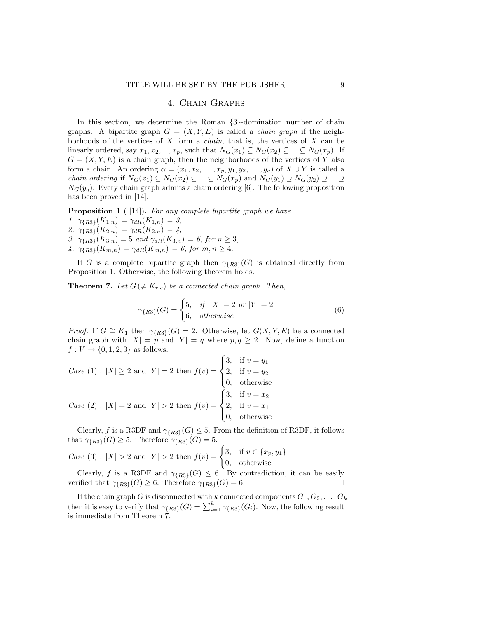# 4. Chain Graphs

In this section, we determine the Roman {3}-domination number of chain graphs. A bipartite graph  $G = (X, Y, E)$  is called a *chain graph* if the neighborhoods of the vertices of  $X$  form a *chain*, that is, the vertices of  $X$  can be linearly ordered, say  $x_1, x_2, ..., x_p$ , such that  $N_G(x_1) \subseteq N_G(x_2) \subseteq ... \subseteq N_G(x_p)$ . If  $G = (X, Y, E)$  is a chain graph, then the neighborhoods of the vertices of Y also form a chain. An ordering  $\alpha = (x_1, x_2, \ldots, x_p, y_1, y_2, \ldots, y_q)$  of  $X \cup Y$  is called a *chain ordering* if  $N_G(x_1) \subseteq N_G(x_2) \subseteq ... \subseteq N_G(x_p)$  and  $N_G(y_1) \supseteq N_G(y_2) \supseteq ... \supseteq$  $N_G(y_q)$ . Every chain graph admits a chain ordering [6]. The following proposition has been proved in [14].

**Proposition 1** ( [14]). For any complete bipartite graph we have 1.  $\gamma_{\{R3\}}(K_{1,n}) = \gamma_{dR}(K_{1,n}) = 3,$ 2.  $\gamma_{\{R3\}}(K_{2,n}) = \gamma_{dR}(K_{2,n}) = 4,$ 3.  $\gamma_{\{R3\}}(K_{3,n}) = 5$  and  $\gamma_{dR}(K_{3,n}) = 6$ , for  $n \geq 3$ , 4.  $\gamma_{\{R3\}}(K_{m,n}) = \gamma_{dR}(K_{m,n}) = 6$ , for  $m, n \geq 4$ .

If G is a complete bipartite graph then  $\gamma_{R33}(G)$  is obtained directly from Proposition 1. Otherwise, the following theorem holds.

**Theorem 7.** Let  $G \neq K_{r,s}$  be a connected chain graph. Then,

$$
\gamma_{\{R3\}}(G) = \begin{cases} 5, & if \ |X| = 2 \ or \ |Y| = 2 \\ 6, & otherwise \end{cases}
$$
 (6)

*Proof.* If  $G \cong K_1$  then  $\gamma_{R3}(G) = 2$ . Otherwise, let  $G(X, Y, E)$  be a connected chain graph with  $|X| = p$  and  $|Y| = q$  where  $p, q \ge 2$ . Now, define a function  $f: V \rightarrow \{0, 1, 2, 3\}$  as follows.

Case (1): 
$$
|X| \ge 2
$$
 and  $|Y| = 2$  then  $f(v) = \begin{cases} 3, & \text{if } v = y_1 \\ 2, & \text{if } v = y_2 \\ 0, & \text{otherwise} \end{cases}$   
\nCase (2):  $|X| = 2$  and  $|Y| > 2$  then  $f(v) = \begin{cases} 3, & \text{if } v = x_2 \\ 2, & \text{if } v = x_1 \\ 0, & \text{otherwise} \end{cases}$ 

Clearly, f is a R3DF and  $\gamma_{R3}(G) \leq 5$ . From the definition of R3DF, it follows that  $\gamma_{\{R3\}}(G) \geq 5$ . Therefore  $\gamma_{\{R3\}}(G) = 5$ .

Case (3): 
$$
|X| > 2
$$
 and  $|Y| > 2$  then  $f(v) = \begin{cases} 3, & \text{if } v \in \{x_p, y_1\} \\ 0, & \text{otherwise} \end{cases}$ 

Clearly, f is a R3DF and  $\gamma_{R3}(G) \leq 6$ . By contradiction, it can be easily verified that  $\gamma_{\{R3\}}(G) \geq 6$ . Therefore  $\gamma_{\{R3\}}(G) = 6$ .

If the chain graph G is disconnected with k connected components  $G_1, G_2, \ldots, G_k$ then it is easy to verify that  $\gamma_{\{R3\}}(G) = \sum_{i=1}^{k} \gamma_{\{R3\}}(G_i)$ . Now, the following result is immediate from Theorem 7.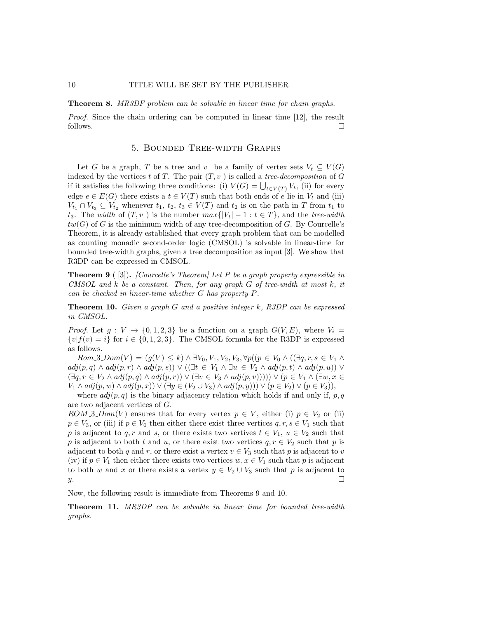Theorem 8. MR3DF problem can be solvable in linear time for chain graphs.

Proof. Since the chain ordering can be computed in linear time [12], the result follows.  $\Box$ 

### 5. Bounded Tree-width Graphs

Let G be a graph, T be a tree and v be a family of vertex sets  $V_t \subseteq V(G)$ indexed by the vertices t of T. The pair  $(T, v)$  is called a tree-decomposition of G if it satisfies the following three conditions: (i)  $V(G) = \bigcup_{t \in V(T)} V_t$ , (ii) for every edge  $e \in E(G)$  there exists a  $t \in V(T)$  such that both ends of e lie in  $V_t$  and (iii)  $V_{t_1} \cap V_{t_3} \subseteq V_{t_2}$  whenever  $t_1, t_2, t_3 \in V(T)$  and  $t_2$  is on the path in T from  $t_1$  to t<sub>3</sub>. The width of  $(T, v)$  is the number  $max\{|V_t| - 1 : t \in T\}$ , and the tree-width  $tw(G)$  of G is the minimum width of any tree-decomposition of G. By Courcelle's Theorem, it is already established that every graph problem that can be modelled as counting monadic second-order logic (CMSOL) is solvable in linear-time for bounded tree-width graphs, given a tree decomposition as input [3]. We show that R3DP can be expressed in CMSOL.

**Theorem 9** ([3]). [Courcelle's Theorem] Let P be a graph property expressible in CMSOL and  $k$  be a constant. Then, for any graph  $G$  of tree-width at most  $k$ , it can be checked in linear-time whether G has property P.

**Theorem 10.** Given a graph G and a positive integer  $k$ ,  $R3DP$  can be expressed in CMSOL.

*Proof.* Let  $g: V \to \{0, 1, 2, 3\}$  be a function on a graph  $G(V, E)$ , where  $V_i =$  ${v|f(v) = i}$  for  $i \in \{0, 1, 2, 3\}$ . The CMSOL formula for the R3DP is expressed as follows.

 $Rom.3_Dom(V) = (g(V) \leq k) \wedge \exists V_0, V_1, V_2, V_3, \forall p((p \in V_0 \wedge ((\exists q, r, s \in V_1 \wedge$  $adj(p, q) \wedge adj(p, r) \wedge adj(p, s)$   $\vee$   $(\exists t \in V_1 \wedge \exists u \in V_2 \wedge adj(p, t) \wedge adj(p, u))$   $\vee$  $(\exists q, r \in V_2 \land adj(p, q) \land adj(p, r)) \lor (\exists v \in V_3 \land adj(p, v)))) \lor (p \in V_1 \land (\exists w, x \in V_2 \land adj(p, q))$  $V_1 \wedge adj(p, w) \wedge adj(p, x) \vee (\exists y \in (V_2 \cup V_3) \wedge adj(p, y)) \vee (p \in V_2) \vee (p \in V_3)),$ 

where  $adj(p, q)$  is the binary adjacency relation which holds if and only if, p, q are two adjacent vertices of G.

ROM 3.Dom(V) ensures that for every vertex  $p \in V$ , either (i)  $p \in V_2$  or (ii)  $p \in V_3$ , or (iii) if  $p \in V_0$  then either there exist three vertices  $q, r, s \in V_1$  such that p is adjacent to q, r and s, or there exists two vertives  $t \in V_1$ ,  $u \in V_2$  such that p is adjacent to both t and u, or there exist two vertices  $q, r \in V_2$  such that p is adjacent to both q and r, or there exist a vertex  $v \in V_3$  such that p is adjacent to v (iv) if  $p \in V_1$  then either there exists two vertices  $w, x \in V_1$  such that p is adjacent to both w and x or there exists a vertex  $y \in V_2 \cup V_3$  such that p is adjacent to  $y.$ 

Now, the following result is immediate from Theorems 9 and 10.

Theorem 11. MR3DP can be solvable in linear time for bounded tree-width graphs.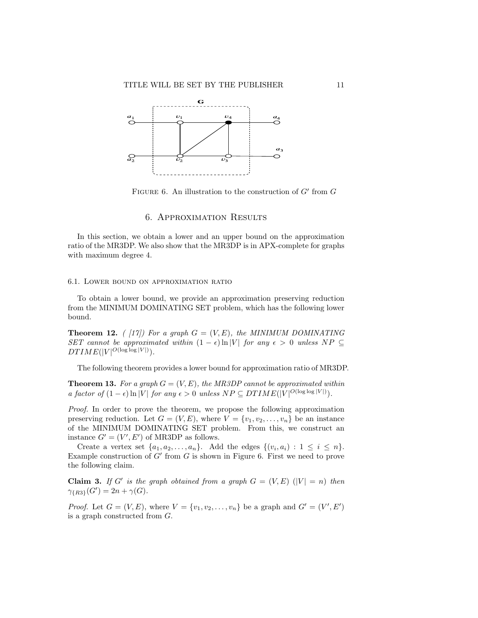

FIGURE 6. An illustration to the construction of  $G'$  from  $G$ 

### 6. Approximation Results

In this section, we obtain a lower and an upper bound on the approximation ratio of the MR3DP. We also show that the MR3DP is in APX-complete for graphs with maximum degree 4.

#### 6.1. Lower bound on approximation ratio

To obtain a lower bound, we provide an approximation preserving reduction from the MINIMUM DOMINATING SET problem, which has the following lower bound.

**Theorem 12.** ( [17]) For a graph  $G = (V, E)$ , the MINIMUM DOMINATING SET cannot be approximated within  $(1 - \epsilon) \ln |V|$  for any  $\epsilon > 0$  unless  $NP \subseteq$  $DTIME(|V|^{O(\log \log |V|)}).$ 

The following theorem provides a lower bound for approximation ratio of MR3DP.

**Theorem 13.** For a graph  $G = (V, E)$ , the MR3DP cannot be approximated within a factor of  $(1 - \epsilon) \ln |V|$  for any  $\epsilon > 0$  unless  $NP \subseteq DTIME(|V|^{O(\log \log |V|)})$ .

Proof. In order to prove the theorem, we propose the following approximation preserving reduction. Let  $G = (V, E)$ , where  $V = \{v_1, v_2, \ldots, v_n\}$  be an instance of the MINIMUM DOMINATING SET problem. From this, we construct an instance  $G' = (V', E')$  of MR3DP as follows.

Create a vertex set  $\{a_1, a_2, \ldots, a_n\}$ . Add the edges  $\{(v_i, a_i) : 1 \leq i \leq n\}$ . Example construction of  $G'$  from  $G$  is shown in Figure 6. First we need to prove the following claim.

**Claim 3.** If G' is the graph obtained from a graph  $G = (V, E)$   $(|V| = n)$  then  $\gamma_{\{R3\}}(G') = 2n + \gamma(G).$ 

*Proof.* Let  $G = (V, E)$ , where  $V = \{v_1, v_2, ..., v_n\}$  be a graph and  $G' = (V', E')$ is a graph constructed from G.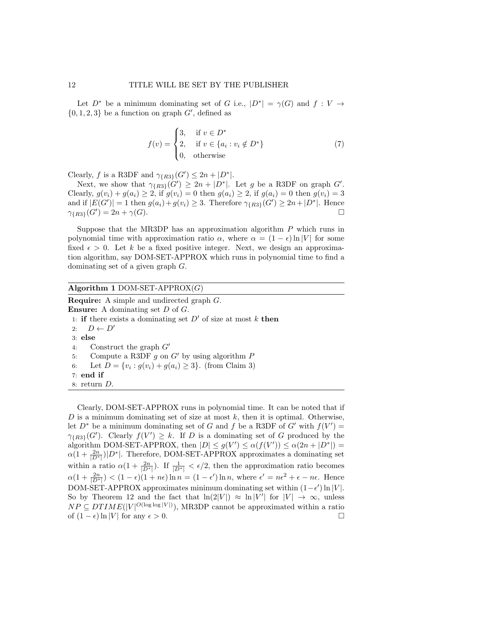Let  $D^*$  be a minimum dominating set of G i.e.,  $|D^*| = \gamma(G)$  and  $f: V \to$  $\{0, 1, 2, 3\}$  be a function on graph  $G'$ , defined as

$$
f(v) = \begin{cases} 3, & \text{if } v \in D^* \\ 2, & \text{if } v \in \{a_i : v_i \notin D^*\} \\ 0, & \text{otherwise} \end{cases}
$$
 (7)

Clearly, f is a R3DF and  $\gamma_{\{R3\}}(G') \leq 2n + |D^*|$ .

Next, we show that  $\gamma_{\{R3\}}(G') \geq 2n + |D^*|$ . Let g be a R3DF on graph G'. Clearly,  $g(v_i) + g(a_i) \geq 2$ , if  $g(v_i) = 0$  then  $g(a_i) \geq 2$ , if  $g(a_i) = 0$  then  $g(v_i) = 3$ and if  $|E(G')|=1$  then  $g(a_i)+g(v_i) \geq 3$ . Therefore  $\gamma_{\{R3\}}(G') \geq 2n+|D^*|$ . Hence  $\gamma_{R3}(G') = 2n + \gamma(G).$ 

Suppose that the MR3DP has an approximation algorithm  $P$  which runs in polynomial time with approximation ratio  $\alpha$ , where  $\alpha = (1 - \epsilon) \ln |V|$  for some fixed  $\epsilon > 0$ . Let k be a fixed positive integer. Next, we design an approximation algorithm, say DOM-SET-APPROX which runs in polynomial time to find a dominating set of a given graph G.

# Algorithm 1 DOM-SET-APPROX $(G)$

Require: A simple and undirected graph G. Ensure: A dominating set D of G. 1: if there exists a dominating set  $D'$  of size at most k then 2:  $D \leftarrow D'$ 3: else 4: Construct the graph G′ 5: Compute a R3DF  $g$  on  $G'$  by using algorithm  $P$ 6: Let  $D = \{v_i : g(v_i) + g(a_i) \ge 3\}$ . (from Claim 3) 7: end if 8: return D.

Clearly, DOM-SET-APPROX runs in polynomial time. It can be noted that if D is a minimum dominating set of size at most  $k$ , then it is optimal. Otherwise, let  $D^*$  be a minimum dominating set of G and f be a R3DF of G' with  $f(V') =$  $\gamma_{\{R3\}}(G')$ . Clearly  $f(V') \geq k$ . If D is a dominating set of G produced by the algorithm DOM-SET-APPROX, then  $|D| \le g(V') \le \alpha(f(V')) \le \alpha(2n + |D^*|) =$  $\alpha(1+\frac{2n}{|D^*|})|D^*|$ . Therefore, DOM-SET-APPROX approximates a dominating set within a ratio  $\alpha(1+\frac{2n}{|D^*|})$ . If  $\frac{1}{|D^*|}<\epsilon/2$ , then the approximation ratio becomes  $\alpha(1+\frac{2n}{|D^*|}) < (1-\epsilon)(1+n\epsilon)\ln n = (1-\epsilon')\ln n$ , where  $\epsilon' = n\epsilon^2 + \epsilon - n\epsilon$ . Hence DOM-SET-APPROX approximates minimum dominating set within  $(1 - \epsilon') \ln |V|$ . So by Theorem 12 and the fact that  $\ln(2|V|) \approx \ln |V'|$  for  $|V| \to \infty$ , unless  $NP \subseteq DTIME(|V|^{O(\log \log |V|)})$ , MR3DP cannot be approximated within a ratio of  $(1 - \epsilon) \ln |V|$  for any  $\epsilon > 0$ . □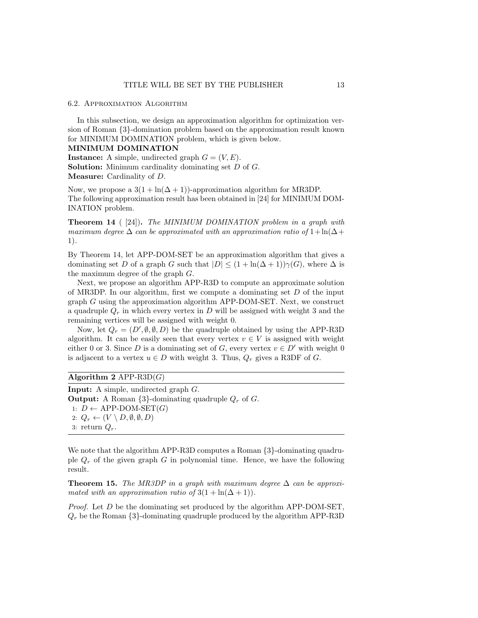#### 6.2. Approximation Algorithm

In this subsection, we design an approximation algorithm for optimization version of Roman {3}-domination problem based on the approximation result known for MINIMUM DOMINATION problem, which is given below.

#### MINIMUM DOMINATION

**Instance:** A simple, undirected graph  $G = (V, E)$ . Solution: Minimum cardinality dominating set D of G. Measure: Cardinality of D.

Now, we propose a  $3(1 + \ln(\Delta + 1))$ -approximation algorithm for MR3DP. The following approximation result has been obtained in [24] for MINIMUM DOM-INATION problem.

**Theorem 14** ( $[24]$ ). The MINIMUM DOMINATION problem in a graph with maximum degree  $\Delta$  can be approximated with an approximation ratio of  $1+\ln(\Delta+\frac{1}{\sqrt{2}})$ 1).

By Theorem 14, let APP-DOM-SET be an approximation algorithm that gives a dominating set D of a graph G such that  $|D| \leq (1 + \ln(\Delta + 1))\gamma(G)$ , where  $\Delta$  is the maximum degree of the graph G.

Next, we propose an algorithm APP-R3D to compute an approximate solution of MR3DP. In our algorithm, first we compute a dominating set  $D$  of the input graph G using the approximation algorithm APP-DOM-SET. Next, we construct a quadruple  $Q_r$  in which every vertex in D will be assigned with weight 3 and the remaining vertices will be assigned with weight 0.

Now, let  $Q_r = (D', \emptyset, \emptyset, D)$  be the quadruple obtained by using the APP-R3D algorithm. It can be easily seen that every vertex  $v \in V$  is assigned with weight either 0 or 3. Since D is a dominating set of G, every vertex  $v \in D'$  with weight 0 is adjacent to a vertex  $u \in D$  with weight 3. Thus,  $Q_r$  gives a R3DF of G.

| Algorithm 2 APP-R3D $(G)$ |  |  |  |  |
|---------------------------|--|--|--|--|
|---------------------------|--|--|--|--|

Input: A simple, undirected graph G. **Output:** A Roman  $\{3\}$ -dominating quadruple  $Q_r$  of G. 1:  $D \leftarrow$  APP-DOM-SET(*G*) 2:  $Q_r \leftarrow (V \setminus D, \emptyset, \emptyset, D)$ 3: return  $Q_r$ .

We note that the algorithm APP-R3D computes a Roman  $\{3\}$ -dominating quadruple  $Q_r$  of the given graph G in polynomial time. Hence, we have the following result.

Theorem 15. The MR3DP in a graph with maximum degree  $\Delta$  can be approximated with an approximation ratio of  $3(1 + \ln(\Delta + 1)).$ 

*Proof.* Let  $D$  be the dominating set produced by the algorithm APP-DOM-SET,  $Q_r$  be the Roman  $\{3\}$ -dominating quadruple produced by the algorithm APP-R3D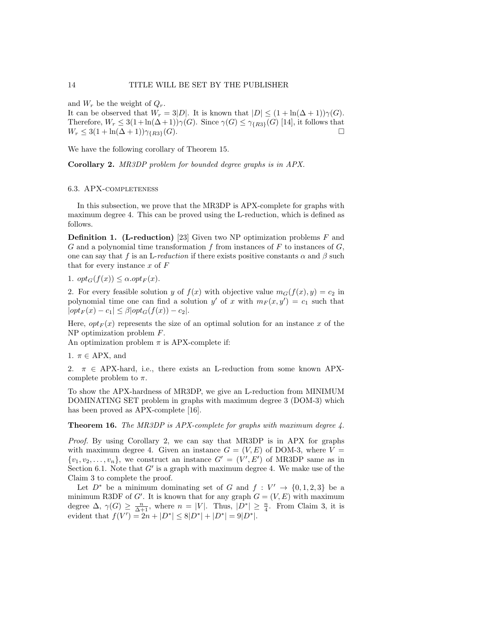and  $W_r$  be the weight of  $Q_r$ .

It can be observed that  $W_r = 3|D|$ . It is known that  $|D| \leq (1 + \ln(\Delta + 1))\gamma(G)$ . Therefore,  $W_r \leq 3(1+\ln(\Delta+1))\gamma(G)$ . Since  $\gamma(G) \leq \gamma_{R3}(G)$  [14], it follows that  $W_r \leq 3(1 + \ln(\Delta + 1))\gamma_{R3}(G).$ 

We have the following corollary of Theorem 15.

Corollary 2. MR3DP problem for bounded degree graphs is in APX.

### 6.3. APX-completeness

In this subsection, we prove that the MR3DP is APX-complete for graphs with maximum degree 4. This can be proved using the L-reduction, which is defined as follows.

**Definition 1.** (L-reduction) [23] Given two NP optimization problems  $F$  and G and a polynomial time transformation f from instances of F to instances of  $G$ , one can say that f is an L-reduction if there exists positive constants  $\alpha$  and  $\beta$  such that for every instance  $x$  of  $F$ 

1.  $opt_G(f(x)) \leq \alpha.get_F(x)$ .

2. For every feasible solution y of  $f(x)$  with objective value  $m_G(f(x), y) = c_2$  in polynomial time one can find a solution y' of x with  $m_F(x, y') = c_1$  such that  $|opt_F(x) - c_1| \leq \beta |opt_G(f(x)) - c_2|.$ 

Here,  $opt_F(x)$  represents the size of an optimal solution for an instance x of the NP optimization problem F.

An optimization problem  $\pi$  is APX-complete if:

1.  $\pi \in APX$ , and

2.  $\pi \in APX$ -hard, i.e., there exists an L-reduction from some known APXcomplete problem to  $\pi$ .

To show the APX-hardness of MR3DP, we give an L-reduction from MINIMUM DOMINATING SET problem in graphs with maximum degree 3 (DOM-3) which has been proved as APX-complete [16].

**Theorem 16.** The MR3DP is APX-complete for graphs with maximum degree  $\ddot{4}$ .

Proof. By using Corollary 2, we can say that MR3DP is in APX for graphs with maximum degree 4. Given an instance  $G = (V, E)$  of DOM-3, where  $V =$  $\{v_1, v_2, \ldots, v_n\}$ , we construct an instance  $G' = (V', E')$  of MR3DP same as in Section 6.1. Note that  $G'$  is a graph with maximum degree 4. We make use of the Claim 3 to complete the proof.

Let  $D^*$  be a minimum dominating set of G and  $f: V' \to \{0,1,2,3\}$  be a minimum R3DF of G'. It is known that for any graph  $G = (V, E)$  with maximum degree  $\Delta$ ,  $\gamma(G) \geq \frac{n}{\Delta+1}$ , where  $n = |V|$ . Thus,  $|D^*| \geq \frac{n}{4}$ . From Claim 3, it is evident that  $f(V') = 2n + |D^*| \leq 8|D^*| + |D^*| = 9|D^*|$ .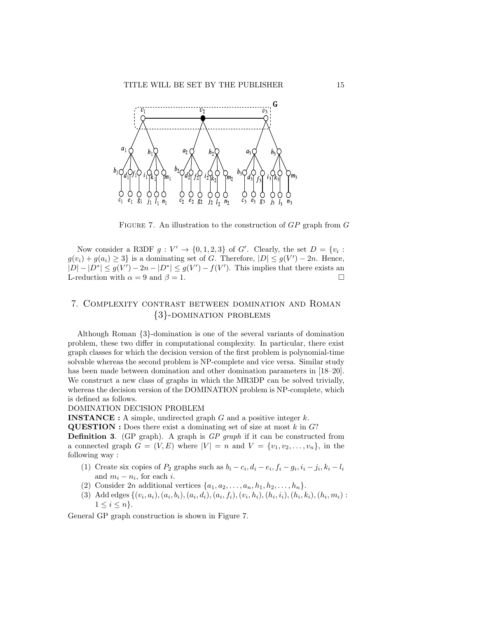

FIGURE 7. An illustration to the construction of  $GP$  graph from  $G$ 

Now consider a R3DF  $g: V' \to \{0, 1, 2, 3\}$  of G'. Clearly, the set  $D = \{v_i :$  $g(v_i) + g(a_i) \geq 3$  is a dominating set of G. Therefore,  $|D| \leq g(V') - 2n$ . Hence,  $|D| - |D^*| \leq g(V') - 2n - |D^*| \leq g(V') - f(V')$ . This implies that there exists an L-reduction with  $\alpha = 9$  and  $\beta = 1$ .

# 7. Complexity contrast between domination and Roman {3}-domination problems

Although Roman {3}-domination is one of the several variants of domination problem, these two differ in computational complexity. In particular, there exist graph classes for which the decision version of the first problem is polynomial-time solvable whereas the second problem is NP-complete and vice versa. Similar study has been made between domination and other domination parameters in [18–20]. We construct a new class of graphs in which the MR3DP can be solved trivially, whereas the decision version of the DOMINATION problem is NP-complete, which is defined as follows.

DOMINATION DECISION PROBLEM

**INSTANCE**: A simple, undirected graph  $G$  and a positive integer  $k$ .

**QUESTION** : Does there exist a dominating set of size at most  $k$  in  $G$ ?

Definition 3. (GP graph). A graph is GP graph if it can be constructed from a connected graph  $G = (V, E)$  where  $|V| = n$  and  $V = \{v_1, v_2, \ldots, v_n\}$ , in the following way :

- (1) Create six copies of  $P_2$  graphs such as  $b_i c_i$ ,  $d_i e_i$ ,  $f_i g_i$ ,  $i_i j_i$ ,  $k_i l_i$ and  $m_i - n_i$ , for each *i*.
- (2) Consider 2n additional vertices  $\{a_1, a_2, \ldots, a_n, h_1, h_2, \ldots, h_n\}.$
- (3) Add edges  $\{(v_i, a_i), (a_i, b_i), (a_i, d_i), (a_i, f_i), (v_i, h_i), (h_i, i_i), (h_i, k_i), (h_i, m_i)$ :  $1 \leq i \leq n$ .

General GP graph construction is shown in Figure 7.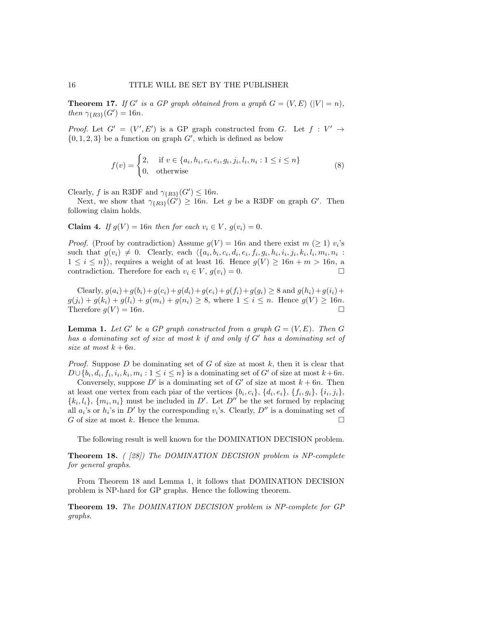**Theorem 17.** If G' is a GP graph obtained from a graph  $G = (V, E)$   $(|V| = n)$ , then  $\gamma_{\{R3\}}(G') = 16n$ .

*Proof.* Let  $G' = (V', E')$  is a GP graph constructed from G. Let  $f : V' \rightarrow$  $\{0, 1, 2, 3\}$  be a function on graph  $G'$ , which is defined as below

$$
f(v) = \begin{cases} 2, & \text{if } v \in \{a_i, h_i, c_i, e_i, g_i, j_i, l_i, n_i : 1 \le i \le n\} \\ 0, & \text{otherwise} \end{cases} \tag{8}
$$

Clearly, f is an R3DF and  $\gamma_{R3}(G') \leq 16n$ .

Next, we show that  $\gamma_{\{R3\}}(G') \geq 16n$ . Let g be a R3DF on graph G'. Then following claim holds.

Claim 4. If  $g(V) = 16n$  then for each  $v_i \in V$ ,  $g(v_i) = 0$ .

*Proof.* (Proof by contradiction) Assume  $g(V) = 16n$  and there exist  $m \geq 1$  v<sub>i</sub>'s such that  $g(v_i) \neq 0$ . Clearly, each  $\langle \{a_i, b_i, c_i, d_i, e_i, f_i, g_i, h_i, i_i, j_i, k_i, l_i, m_i, n_i \rangle \rangle$  $1 \leq i \leq n$ , requires a weight of at least 16. Hence  $g(V) \geq 16n + m > 16n$ , a contradiction. Therefore for each  $v_i \in V$ ,  $g(v_i) = 0$ .

Clearly,  $g(a_i)+g(b_i)+g(c_i)+g(d_i)+g(e_i)+g(f_i)+g(g_i) \geq 8$  and  $g(h_i)+g(i_i)+g(i_j)$  $g(j_i) + g(k_i) + g(l_i) + g(m_i) + g(n_i) \ge 8$ , where  $1 \le i \le n$ . Hence  $g(V) \ge 16n$ . Therefore  $g(V) = 16n$ .

**Lemma 1.** Let G' be a GP graph constructed from a graph  $G = (V, E)$ . Then G has a dominating set of size at most k if and only if G′ has a dominating set of size at most  $k + 6n$ .

*Proof.* Suppose  $D$  be dominating set of  $G$  of size at most  $k$ , then it is clear that  $D \cup \{b_i, d_i, f_i, i_i, k_i, m_i : 1 \leq i \leq n\}$  is a dominating set of G' of size at most  $k+6n$ .

Conversely, suppose  $D'$  is a dominating set of  $G'$  of size at most  $k + 6n$ . Then at least one vertex from each piar of the vertices  $\{b_i, c_i\}, \{d_i, e_i\}, \{f_i, g_i\}, \{i_i, j_i\},\$  $\{k_i, l_i\}, \{m_i, n_i\}$  must be included in D'. Let D'' be the set formed by replacing all  $a_i$ 's or  $h_i$ 's in  $D'$  by the corresponding  $v_i$ 's. Clearly,  $D''$  is a dominating set of G of size at most  $k$ . Hence the lemma.

The following result is well known for the DOMINATION DECISION problem.

Theorem 18. ( [28]) The DOMINATION DECISION problem is NP-complete for general graphs.

From Theorem 18 and Lemma 1, it follows that DOMINATION DECISION problem is NP-hard for GP graphs. Hence the following theorem.

Theorem 19. The DOMINATION DECISION problem is NP-complete for GP graphs.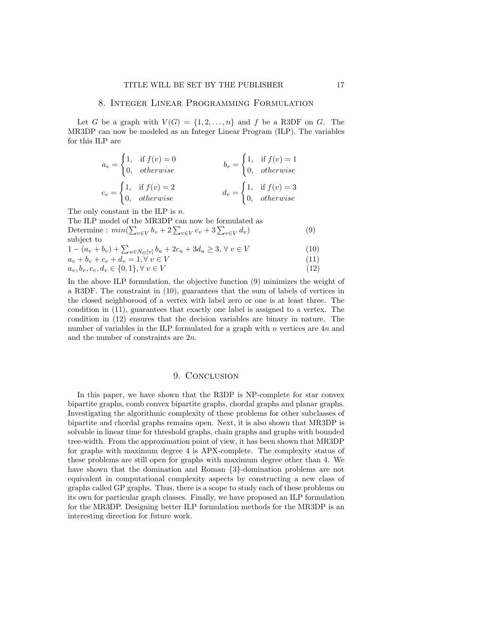# 8. Integer Linear Programming Formulation

Let G be a graph with  $V(G) = \{1, 2, ..., n\}$  and f be a R3DF on G. The MR3DP can now be modeled as an Integer Linear Program (ILP). The variables for this ILP are

$$
a_v = \begin{cases} 1, & \text{if } f(v) = 0 \\ 0, & otherwise \end{cases}
$$
  
\n
$$
b_v = \begin{cases} 1, & \text{if } f(v) = 1 \\ 0, & otherwise \end{cases}
$$
  
\n
$$
c_v = \begin{cases} 1, & \text{if } f(v) = 2 \\ 0, & otherwise \end{cases}
$$
  
\n
$$
d_v = \begin{cases} 1, & \text{if } f(v) = 3 \\ 0, & otherwise \end{cases}
$$

The only constant in the ILP is  $n$ .

The ILP model of the MR3DP can now be formulated as Determine :  $min(\sum_{v \in V} b_v + 2 \sum_{v \in V} c_v + 3 \sum_{v \in V} d_v)$  (9) subject to  $b_u + 2c_u + 3d_u \geq 3, \forall v \in V$ 

$$
1 - (a_v + b_v) + \sum_{u \in N_G[v]} b_u + 2c_u + 3d_u \ge 3, \forall v \in V
$$
\n
$$
a + b + c + d = 1 \forall v \in V
$$
\n
$$
(11)
$$

$$
a_v + b_v + c_v + d_v = 1, \forall v \in V
$$
\n<sup>(11)</sup>

$$
a_v, b_v, c_v, d_v \in \{0, 1\}, \forall v \in V
$$
\n<sup>(12)</sup>

In the above ILP formulation, the objective function (9) minimizes the weight of a R3DF. The constraint in (10), guarantees that the sum of labels of vertices in the closed neighborood of a vertex with label zero or one is at least three. The condition in (11), guarantees that exactly one label is assigned to a vertex. The condition in (12) ensures that the decision variables are binary in nature. The number of variables in the ILP formulated for a graph with  $n$  vertices are  $4n$  and and the number of constraints are 2n.

### 9. CONCLUSION

In this paper, we have shown that the R3DP is NP-complete for star convex bipartite graphs, comb convex bipartite graphs, chordal graphs and planar graphs. Investigating the algorithmic complexity of these problems for other subclasses of bipartite and chordal graphs remains open. Next, it is also shown that MR3DP is solvable in linear time for threshold graphs, chain graphs and graphs with bounded tree-width. From the approximation point of view, it has been shown that MR3DP for graphs with maximum degree 4 is APX-complete. The complexity status of these problems are still open for graphs with maximum degree other than 4. We have shown that the domination and Roman {3}-domination problems are not equivalent in computational complexity aspects by constructing a new class of graphs called GP graphs. Thus, there is a scope to study each of these problems on its own for particular graph classes. Finally, we have proposed an ILP formulation for the MR3DP. Designing better ILP formulation methods for the MR3DP is an interesting direction for future work.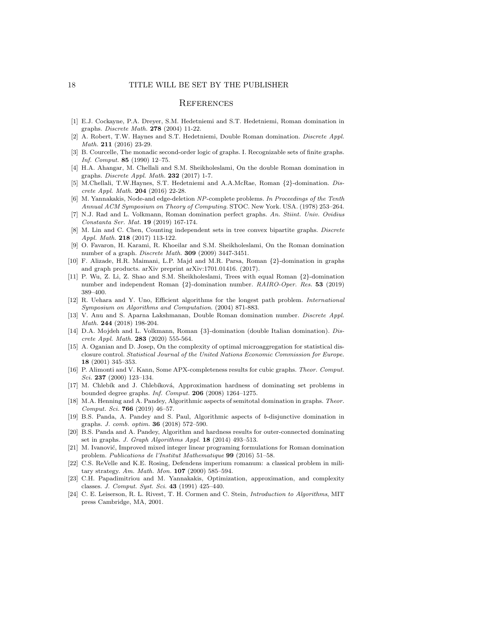# **REFERENCES**

- [1] E.J. Cockayne, P.A. Dreyer, S.M. Hedetniemi and S.T. Hedetniemi, Roman domination in graphs. Discrete Math. 278 (2004) 11-22.
- [2] A. Robert, T.W. Haynes and S.T. Hedetniemi, Double Roman domination. Discrete Appl. Math. 211 (2016) 23-29.
- [3] B. Courcelle, The monadic second-order logic of graphs. I. Recognizable sets of finite graphs. Inf. Comput. 85 (1990) 12–75.
- [4] H.A. Ahangar, M. Chellali and S.M. Sheikholeslami, On the double Roman domination in graphs. Discrete Appl. Math. 232 (2017) 1-7.
- [5] M.Chellali, T.W.Haynes, S.T. Hedetniemi and A.A.McRae, Roman {2}-domination. Discrete Appl. Math. 204 (2016) 22-28.
- [6] M. Yannakakis, Node-and edge-deletion NP-complete problems. In Proceedings of the Tenth Annual ACM Symposium on Theory of Computing. STOC. New York. USA. (1978) 253–264.
- [7] N.J. Rad and L. Volkmann, Roman domination perfect graphs. An. Stiint. Univ. Ovidius Constanta Ser. Mat. 19 (2019) 167-174.
- [8] M. Lin and C. Chen, Counting independent sets in tree convex bipartite graphs. Discrete Appl. Math. 218 (2017) 113-122.
- [9] O. Favaron, H. Karami, R. Khoeilar and S.M. Sheikholeslami, On the Roman domination number of a graph. Discrete Math. 309 (2009) 3447-3451.
- [10] F. Alizade, H.R. Maimani, L.P. Majd and M.R. Parsa, Roman {2}-domination in graphs and graph products. arXiv preprint arXiv:1701.01416. (2017).
- [11] P. Wu, Z. Li, Z. Shao and S.M. Sheikholeslami, Trees with equal Roman {2}-domination number and independent Roman {2}-domination number. RAIRO-Oper. Res. 53 (2019) 389–400.
- [12] R. Uehara and Y. Uno, Efficient algorithms for the longest path problem. International Symposium on Algorithms and Computation. (2004) 871-883.
- [13] V. Anu and S. Aparna Lakshmanan, Double Roman domination number. Discrete Appl. Math. 244 (2018) 198-204.
- [14] D.A. Mojdeh and L. Volkmann, Roman {3}-domination (double Italian domination). Discrete Appl. Math. 283 (2020) 555-564.
- [15] A. Oganian and D. Josep, On the complexity of optimal microaggregation for statistical disclosure control. Statistical Journal of the United Nations Economic Commission for Europe. 18 (2001) 345–353.
- [16] P. Alimonti and V. Kann, Some APX-completeness results for cubic graphs. Theor. Comput. Sci. 237 (2000) 123–134.
- [17] M. Chlebík and J. Chlebíková, Approximation hardness of dominating set problems in bounded degree graphs. Inf. Comput. 206 (2008) 1264–1275.
- [18] M.A. Henning and A. Pandey, Algorithmic aspects of semitotal domination in graphs. Theor. Comput. Sci. 766 (2019) 46–57.
- [19] B.S. Panda, A. Pandey and S. Paul, Algorithmic aspects of b-disjunctive domination in graphs. J. comb. optim. 36 (2018) 572–590.
- [20] B.S. Panda and A. Pandey, Algorithm and hardness results for outer-connected dominating set in graphs. J. Graph Algorithms Appl. 18 (2014) 493-513.
- [21] M. Ivanović, Improved mixed integer linear programing formulations for Roman domination problem. Publications de l'Institut Mathematique 99 (2016) 51–58.
- [22] C.S. ReVelle and K.E. Rosing, Defendens imperium romanum: a classical problem in military strategy. Am. Math. Mon. 107 (2000) 585–594.
- [23] C.H. Papadimitriou and M. Yannakakis, Optimization, approximation, and complexity classes. J. Comput. Syst. Sci. 43 (1991) 425–440.
- [24] C. E. Leiserson, R. L. Rivest, T. H. Cormen and C. Stein, Introduction to Algorithms, MIT press Cambridge, MA, 2001.